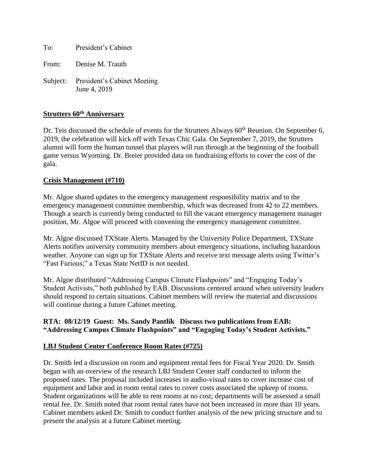To: President's Cabinet

From: Denise M. Trauth

Subject: President's Cabinet Meeting June 4, 2019

# **Strutters 60th Anniversary**

Dr. Teis discussed the schedule of events for the Strutters Always 60<sup>th</sup> Reunion. On September 6, 2019, the celebration will kick off with Texas Chic Gala. On September 7, 2019, the Strutters alumni will form the human tunnel that players will run through at the beginning of the football game versus Wyoming. Dr. Breier provided data on fundraising efforts to cover the cost of the gala.

#### **Crisis Management (#710)**

Mr. Algoe shared updates to the emergency management responsibility matrix and to the emergency management committee membership, which was decreased from 42 to 22 members. Though a search is currently being conducted to fill the vacant emergency management manager position, Mr. Algoe will proceed with convening the emergency management committee.

Mr. Algoe discussed TXState Alerts. Managed by the University Police Department, TXState Alerts notifies university community members about emergency situations, including hazardous weather. Anyone can sign up for TXState Alerts and receive text message alerts using Twitter's "Fast Furious;" a Texas State NetID is not needed.

Mr. Algoe distributed "Addressing Campus Climate Flashpoints" and "Engaging Today's Student Activists," both published by EAB. Discussions centered around when university leaders should respond to certain situations. Cabinet members will review the material and discussions will continue during a future Cabinet meeting.

## **RTA: 08/12/19 Guest: Ms. Sandy Pantlik Discuss two publications from EAB: "Addressing Campus Climate Flashpoints" and "Engaging Today's Student Activists."**

#### **LBJ Student Center Conference Room Rates (#725)**

Dr. Smith led a discussion on room and equipment rental fees for Fiscal Year 2020. Dr. Smith began with an overview of the research LBJ Student Center staff conducted to inform the proposed rates. The proposal included increases in audio-visual rates to cover increase cost of equipment and labor and in room rental rates to cover costs associated the upkeep of rooms. Student organizations will be able to rent rooms at no cost; departments will be assessed a small rental fee. Dr. Smith noted that room rental rates have not been increased in more than 10 years. Cabinet members asked Dr. Smith to conduct further analysis of the new pricing structure and to present the analysis at a future Cabinet meeting.